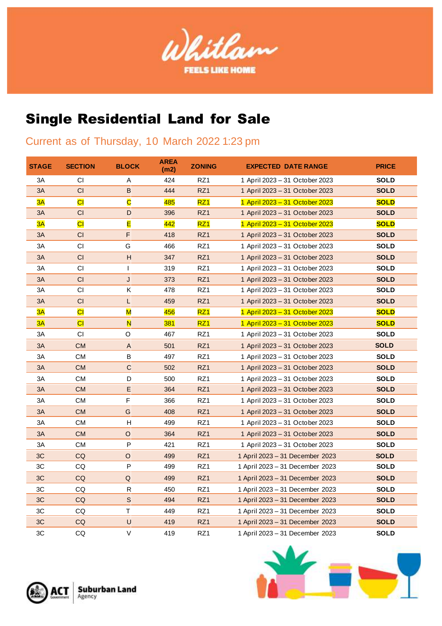

## Single Residential Land for Sale

## Current as of Thursday, 10 March 2022 1:23 pm

| <b>STAGE</b> | <b>SECTION</b>         | <b>BLOCK</b>              | <b>AREA</b><br>(m2) | <b>ZONING</b>   | <b>EXPECTED DATE RANGE</b>      | <b>PRICE</b> |
|--------------|------------------------|---------------------------|---------------------|-----------------|---------------------------------|--------------|
| 3A           | CI                     | Α                         | 424                 | RZ1             | 1 April 2023 - 31 October 2023  | <b>SOLD</b>  |
| 3A           | CI                     | B                         | 444                 | RZ1             | 1 April 2023 - 31 October 2023  | <b>SOLD</b>  |
| 3A           | $\overline{\text{CI}}$ | $\overline{\textbf{C}}$   | 485                 | RZ <sub>1</sub> | 1 April 2023 - 31 October 2023  | <b>SOLD</b>  |
| 3A           | CI                     | D                         | 396                 | RZ1             | 1 April 2023 - 31 October 2023  | <b>SOLD</b>  |
| 3A           | $\overline{\text{CI}}$ | E                         | 442                 | RZ <sub>1</sub> | 1 April 2023 - 31 October 2023  | <b>SOLD</b>  |
| 3A           | CI                     | F                         | 418                 | RZ1             | 1 April 2023 – 31 October 2023  | <b>SOLD</b>  |
| 3A           | CI                     | G                         | 466                 | RZ1             | 1 April 2023 - 31 October 2023  | <b>SOLD</b>  |
| 3A           | CI                     | $\mathsf{H}$              | 347                 | RZ1             | 1 April 2023 - 31 October 2023  | <b>SOLD</b>  |
| 3A           | СI                     | T                         | 319                 | RZ1             | 1 April 2023 - 31 October 2023  | <b>SOLD</b>  |
| 3A           | CI                     | J                         | 373                 | RZ1             | 1 April 2023 - 31 October 2023  | <b>SOLD</b>  |
| 3A           | CI                     | Κ                         | 478                 | RZ1             | 1 April 2023 - 31 October 2023  | <b>SOLD</b>  |
| 3A           | CI                     | L                         | 459                 | RZ1             | 1 April 2023 - 31 October 2023  | <b>SOLD</b>  |
| 3A           | $\overline{\text{CI}}$ | $\overline{\mathsf{M}}$   | 456                 | RZ <sub>1</sub> | 1 April 2023 - 31 October 2023  | <b>SOLD</b>  |
| 3A           | CI                     | $\overline{\mathsf{N}}$   | 381                 | RZ1             | 1 April 2023 - 31 October 2023  | <b>SOLD</b>  |
| 3A           | CI.                    | O                         | 467                 | RZ1             | 1 April 2023 - 31 October 2023  | <b>SOLD</b>  |
| 3A           | <b>CM</b>              | $\boldsymbol{\mathsf{A}}$ | 501                 | RZ1             | 1 April 2023 - 31 October 2023  | <b>SOLD</b>  |
| 3A           | СM                     | B                         | 497                 | RZ1             | 1 April 2023 - 31 October 2023  | <b>SOLD</b>  |
| 3A           | CM.                    | $\mathsf C$               | 502                 | RZ1             | 1 April 2023 - 31 October 2023  | <b>SOLD</b>  |
| 3A           | CМ                     | D                         | 500                 | RZ1             | 1 April 2023 - 31 October 2023  | <b>SOLD</b>  |
| 3A           | <b>CM</b>              | E                         | 364                 | RZ1             | 1 April 2023 - 31 October 2023  | <b>SOLD</b>  |
| 3A           | <b>CM</b>              | F                         | 366                 | RZ1             | 1 April 2023 - 31 October 2023  | <b>SOLD</b>  |
| 3A           | <b>CM</b>              | G                         | 408                 | RZ1             | 1 April 2023 - 31 October 2023  | <b>SOLD</b>  |
| 3A           | СM                     | $\sf H$                   | 499                 | RZ1             | 1 April 2023 – 31 October 2023  | <b>SOLD</b>  |
| 3A           | <b>CM</b>              | $\mathsf O$               | 364                 | RZ1             | 1 April 2023 - 31 October 2023  | <b>SOLD</b>  |
| 3A           | <b>CM</b>              | P                         | 421                 | RZ1             | 1 April 2023 - 31 October 2023  | <b>SOLD</b>  |
| 3C           | CQ                     | O                         | 499                 | RZ1             | 1 April 2023 - 31 December 2023 | <b>SOLD</b>  |
| 3C           | CQ                     | P                         | 499                 | RZ1             | 1 April 2023 - 31 December 2023 | <b>SOLD</b>  |
| 3C           | CQ                     | $\sf Q$                   | 499                 | RZ1             | 1 April 2023 - 31 December 2023 | <b>SOLD</b>  |
| 3C           | CQ                     | R                         | 450                 | RZ1             | 1 April 2023 - 31 December 2023 | <b>SOLD</b>  |
| 3C           | CQ                     | $\mathsf S$               | 494                 | RZ1             | 1 April 2023 - 31 December 2023 | <b>SOLD</b>  |
| 3C           | CQ                     | $\mathsf T$               | 449                 | RZ1             | 1 April 2023 - 31 December 2023 | <b>SOLD</b>  |
| 3C           | CQ                     | U                         | 419                 | RZ1             | 1 April 2023 - 31 December 2023 | <b>SOLD</b>  |
| 3C           | CQ                     | V                         | 419                 | RZ1             | 1 April 2023 - 31 December 2023 | <b>SOLD</b>  |



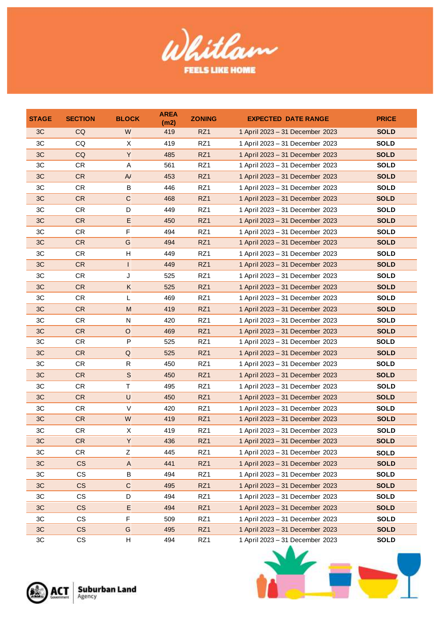

| <b>STAGE</b> | <b>SECTION</b> | <b>BLOCK</b>              | <b>AREA</b><br>(m2) | <b>ZONING</b>   | <b>EXPECTED DATE RANGE</b>      | <b>PRICE</b> |
|--------------|----------------|---------------------------|---------------------|-----------------|---------------------------------|--------------|
| 3C           | <b>CQ</b>      | W                         | 419                 | RZ <sub>1</sub> | 1 April 2023 - 31 December 2023 | <b>SOLD</b>  |
| 3C           | CQ             | X                         | 419                 | RZ1             | 1 April 2023 - 31 December 2023 | <b>SOLD</b>  |
| 3C           | <b>CQ</b>      | Y                         | 485                 | RZ1             | 1 April 2023 - 31 December 2023 | <b>SOLD</b>  |
| 3C           | <b>CR</b>      | Α                         | 561                 | RZ1             | 1 April 2023 - 31 December 2023 | <b>SOLD</b>  |
| 3C           | <b>CR</b>      | $\mathsf{A}$              | 453                 | RZ1             | 1 April 2023 - 31 December 2023 | <b>SOLD</b>  |
| 3C           | <b>CR</b>      | B                         | 446                 | RZ1             | 1 April 2023 - 31 December 2023 | <b>SOLD</b>  |
| 3C           | <b>CR</b>      | $\mathbf C$               | 468                 | RZ1             | 1 April 2023 - 31 December 2023 | <b>SOLD</b>  |
| 3C           | CR             | D                         | 449                 | RZ1             | 1 April 2023 - 31 December 2023 | <b>SOLD</b>  |
| 3C           | <b>CR</b>      | Ε                         | 450                 | RZ1             | 1 April 2023 - 31 December 2023 | <b>SOLD</b>  |
| 3C           | <b>CR</b>      | F                         | 494                 | RZ1             | 1 April 2023 - 31 December 2023 | <b>SOLD</b>  |
| 3C           | <b>CR</b>      | G                         | 494                 | RZ <sub>1</sub> | 1 April 2023 - 31 December 2023 | <b>SOLD</b>  |
| 3C           | <b>CR</b>      | Н                         | 449                 | RZ1             | 1 April 2023 - 31 December 2023 | <b>SOLD</b>  |
| 3C           | <b>CR</b>      |                           | 449                 | RZ1             | 1 April 2023 - 31 December 2023 | <b>SOLD</b>  |
| 3C           | CR             | J                         | 525                 | RZ1             | 1 April 2023 - 31 December 2023 | <b>SOLD</b>  |
| 3C           | CR             | Κ                         | 525                 | RZ1             | 1 April 2023 - 31 December 2023 | <b>SOLD</b>  |
| 3C           | <b>CR</b>      | L                         | 469                 | RZ1             | 1 April 2023 - 31 December 2023 | <b>SOLD</b>  |
| 3C           | <b>CR</b>      | M                         | 419                 | RZ1             | 1 April 2023 - 31 December 2023 | <b>SOLD</b>  |
| 3C           | <b>CR</b>      | N                         | 420                 | RZ1             | 1 April 2023 - 31 December 2023 | <b>SOLD</b>  |
| 3C           | <b>CR</b>      | O                         | 469                 | RZ1             | 1 April 2023 - 31 December 2023 | <b>SOLD</b>  |
| 3C           | CR             | P                         | 525                 | RZ1             | 1 April 2023 - 31 December 2023 | <b>SOLD</b>  |
| 3C           | <b>CR</b>      | $\sf Q$                   | 525                 | RZ1             | 1 April 2023 - 31 December 2023 | <b>SOLD</b>  |
| 3C           | CR.            | R                         | 450                 | RZ1             | 1 April 2023 - 31 December 2023 | <b>SOLD</b>  |
| 3C           | <b>CR</b>      | S                         | 450                 | RZ1             | 1 April 2023 - 31 December 2023 | <b>SOLD</b>  |
| 3C           | CR             | Τ                         | 495                 | RZ1             | 1 April 2023 - 31 December 2023 | <b>SOLD</b>  |
| 3C           | <b>CR</b>      | $\cup$                    | 450                 | RZ1             | 1 April 2023 - 31 December 2023 | <b>SOLD</b>  |
| 3C           | CR             | V                         | 420                 | RZ1             | 1 April 2023 - 31 December 2023 | <b>SOLD</b>  |
| 3C           | <b>CR</b>      | W                         | 419                 | RZ1             | 1 April 2023 - 31 December 2023 | <b>SOLD</b>  |
| 3C           | <b>CR</b>      | X                         | 419                 | RZ1             | 1 April 2023 - 31 December 2023 | <b>SOLD</b>  |
| 3C           | <b>CR</b>      | Y                         | 436                 | RZ1             | 1 April 2023 - 31 December 2023 | <b>SOLD</b>  |
| 3C           | CR.            | Z                         | 445                 | RZ1             | 1 April 2023 - 31 December 2023 | <b>SOLD</b>  |
| 3C           | <b>CS</b>      | $\boldsymbol{\mathsf{A}}$ | 441                 | RZ1             | 1 April 2023 - 31 December 2023 | <b>SOLD</b>  |
| 3C           | CS             | B                         | 494                 | RZ1             | 1 April 2023 - 31 December 2023 | <b>SOLD</b>  |
| 3C           | <b>CS</b>      | $\mathsf{C}$              | 495                 | RZ1             | 1 April 2023 - 31 December 2023 | <b>SOLD</b>  |
| 3C           | CS             | D                         | 494                 | RZ1             | 1 April 2023 - 31 December 2023 | <b>SOLD</b>  |
| 3C           | <b>CS</b>      | Ε                         | 494                 | RZ1             | 1 April 2023 - 31 December 2023 | <b>SOLD</b>  |
| 3C           | CS             | F                         | 509                 | RZ1             | 1 April 2023 - 31 December 2023 | <b>SOLD</b>  |
| 3C           | <b>CS</b>      | G                         | 495                 | RZ <sub>1</sub> | 1 April 2023 - 31 December 2023 | <b>SOLD</b>  |
| 3C           | CS             | Н                         | 494                 | RZ1             | 1 April 2023 - 31 December 2023 | <b>SOLD</b>  |
|              | Agency         | <b>Suburban Land</b>      |                     |                 |                                 |              |